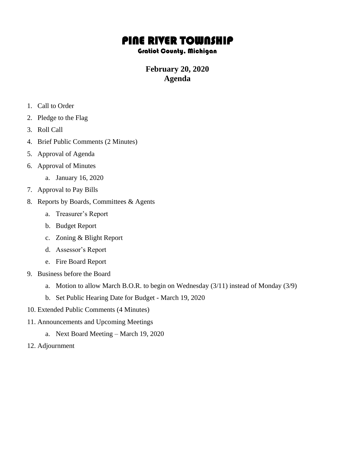## PINE RIVER TOWNSHIP

## Gratiot County, Michigan

## **February 20, 2020 Agenda**

- 1. Call to Order
- 2. Pledge to the Flag
- 3. Roll Call
- 4. Brief Public Comments (2 Minutes)
- 5. Approval of Agenda
- 6. Approval of Minutes
	- a. January 16, 2020
- 7. Approval to Pay Bills
- 8. Reports by Boards, Committees & Agents
	- a. Treasurer's Report
	- b. Budget Report
	- c. Zoning & Blight Report
	- d. Assessor's Report
	- e. Fire Board Report
- 9. Business before the Board
	- a. Motion to allow March B.O.R. to begin on Wednesday (3/11) instead of Monday (3/9)
	- b. Set Public Hearing Date for Budget March 19, 2020
- 10. Extended Public Comments (4 Minutes)
- 11. Announcements and Upcoming Meetings
	- a. Next Board Meeting March 19, 2020
- 12. Adjournment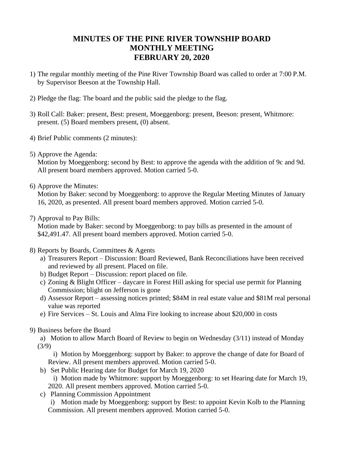## **MINUTES OF THE PINE RIVER TOWNSHIP BOARD MONTHLY MEETING FEBRUARY 20, 2020**

- 1) The regular monthly meeting of the Pine River Township Board was called to order at 7:00 P.M. by Supervisor Beeson at the Township Hall.
- 2) Pledge the flag: The board and the public said the pledge to the flag.
- 3) Roll Call: Baker: present, Best: present, Moeggenborg: present, Beeson: present, Whitmore: present. (5) Board members present, (0) absent.
- 4) Brief Public comments (2 minutes):
- 5) Approve the Agenda:

Motion by Moeggenborg: second by Best: to approve the agenda with the addition of 9c and 9d. All present board members approved. Motion carried 5-0.

6) Approve the Minutes:

Motion by Baker: second by Moeggenborg: to approve the Regular Meeting Minutes of January 16, 2020, as presented. All present board members approved. Motion carried 5-0.

7) Approval to Pay Bills:

Motion made by Baker: second by Moeggenborg: to pay bills as presented in the amount of \$42,491.47. All present board members approved. Motion carried 5-0.

- 8) Reports by Boards, Committees & Agents
	- a) Treasurers Report Discussion: Board Reviewed, Bank Reconciliations have been received and reviewed by all present. Placed on file.
	- b) Budget Report Discussion: report placed on file.
	- c) Zoning & Blight Officer daycare in Forest Hill asking for special use permit for Planning Commission; blight on Jefferson is gone
	- d) Assessor Report assessing notices printed; \$84M in real estate value and \$81M real personal value was reported
	- e) Fire Services St. Louis and Alma Fire looking to increase about \$20,000 in costs
- 9) Business before the Board

a) Motion to allow March Board of Review to begin on Wednesday (3/11) instead of Monday (3/9)

i) Motion by Moeggenborg: support by Baker: to approve the change of date for Board of Review. All present members approved. Motion carried 5-0.

- b) Set Public Hearing date for Budget for March 19, 2020
	- i) Motion made by Whitmore: support by Moeggenborg: to set Hearing date for March 19, 2020. All present members approved. Motion carried 5-0.
- c) Planning Commission Appointment

i) Motion made by Moeggenborg: support by Best: to appoint Kevin Kolb to the Planning Commission. All present members approved. Motion carried 5-0.